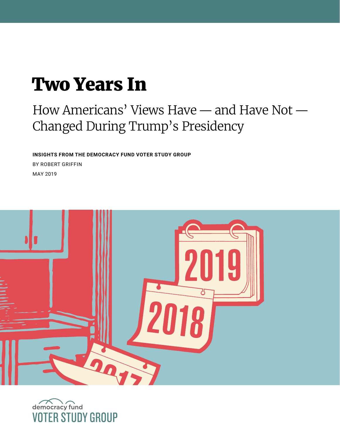# Two Years In

# How Americans' Views Have — and Have Not — Changed During Trump's Presidency

**INSIGHTS FROM THE DEMOCRACY FUND VOTER STUDY GROUP**  BY ROBERT GRIFFIN MAY 2019



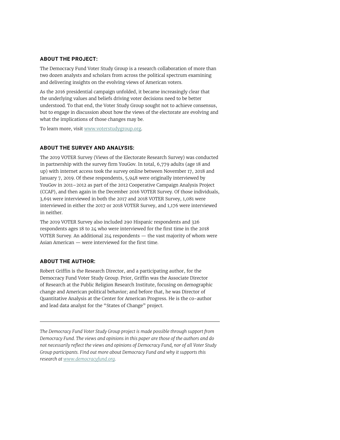#### **ABOUT THE PROJECT:**

The Democracy Fund Voter Study Group is a research collaboration of more than two dozen analysts and scholars from across the political spectrum examining and delivering insights on the evolving views of American voters.

As the 2016 presidential campaign unfolded, it became increasingly clear that the underlying values and beliefs driving voter decisions need to be better understood. To that end, the Voter Study Group sought not to achieve consensus, but to engage in discussion about how the views of the electorate are evolving and what the implications of those changes may be.

To learn more, visit [www.voterstudygroup.org](http://www.voterstudygroup.org).

#### **ABOUT THE SURVEY AND ANALYSIS:**

The 2019 VOTER Survey (Views of the Electorate Research Survey) was conducted in partnership with the survey firm YouGov. In total, 6,779 adults (age 18 and up) with internet access took the survey online between November 17, 2018 and January 7, 2019. Of these respondents, 5,948 were originally interviewed by YouGov in 2011–2012 as part of the 2012 Cooperative Campaign Analysis Project (CCAP), and then again in the December 2016 VOTER Survey. Of those individuals, 3,691 were interviewed in both the 2017 and 2018 VOTER Survey, 1,081 were interviewed in either the 2017 or 2018 VOTER Survey, and 1,176 were interviewed in neither.

The 2019 VOTER Survey also included 290 Hispanic respondents and 326 respondents ages 18 to 24 who were interviewed for the first time in the 2018 VOTER Survey. An additional 214 respondents — the vast majority of whom were Asian American — were interviewed for the first time.

#### **ABOUT THE AUTHOR:**

Robert Griffin is the Research Director, and a participating author, for the Democracy Fund Voter Study Group. Prior, Griffin was the Associate Director of Research at the Public Religion Research Institute, focusing on demographic change and American political behavior; and before that, he was Director of Quantitative Analysis at the Center for American Progress. He is the co-author and lead data analyst for the "States of Change" project.

*The Democracy Fund Voter Study Group project is made possible through support from Democracy Fund. The views and opinions in this paper are those of the authors and do not necessarily reflect the views and opinions of Democracy Fund, nor of all Voter Study Group participants. Find out more about Democracy Fund and why it supports this research at www.democracyfund.org.*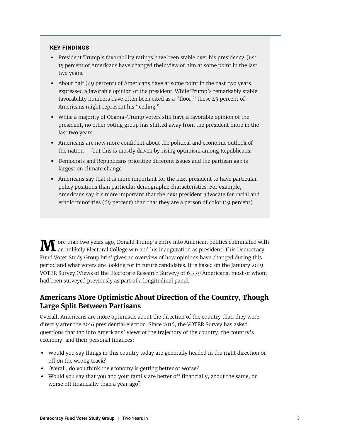#### **KEY FINDINGS**

- **•** President Trump's favorability ratings have been stable over his presidency. Just 15 percent of Americans have changed their view of him at some point in the last two years.
- **•** About half (49 percent) of Americans have at some point in the past two years expressed a favorable opinion of the president. While Trump's remarkably stable favorability numbers have often been cited as a "floor," these 49 percent of Americans might represent his "ceiling."
- **•** While a majority of Obama-Trump voters still have a favorable opinion of the president, no other voting group has shifted away from the president more in the last two years.
- **•** Americans are now more confident about the political and economic outlook of the nation — but this is mostly driven by rising optimism among Republicans.
- **•** Democrats and Republicans prioritize different issues and the partisan gap is largest on climate change.
- **•** Americans say that it is more important for the next president to have particular policy positions than particular demographic characteristics. For example, Americans say it's more important that the next president advocate for racial and ethnic minorities (69 percent) than that they are a person of color (19 percent).

 $\bf{M}$  ore than two years ago, Donald Trump's entry into American politics culminated with an unlikely Electoral College win and his inauguration as president. This Democracy Fund Voter Study Group brief gives an overview of how opinions have changed during this period and what voters are looking for in future candidates. It is based on the January 2019 VOTER Survey (Views of the Electorate Research Survey) of 6,779 Americans, most of whom had been surveyed previously as part of a longitudinal panel.

### **Americans More Optimistic About Direction of the Country, Though Large Split Between Partisans**

Overall, Americans are more optimistic about the direction of the country than they were directly after the 2016 presidential election. Since 2016, the VOTER Survey has asked questions that tap into Americans' views of the trajectory of the country, the country's economy, and their personal finances:

- **•** Would you say things in this country today are generally headed in the right direction or off on the wrong track?
- **•** Overall, do you think the economy is getting better or worse?
- **•** Would you say that you and your family are better off financially, about the same, or worse off financially than a year ago?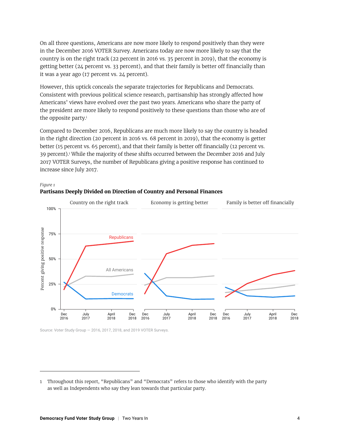On all three questions, Americans are now more likely to respond positively than they were in the December 2016 VOTER Survey. Americans today are now more likely to say that the country is on the right track (22 percent in 2016 vs. 35 percent in 2019), that the economy is getting better (24 percent vs. 33 percent), and that their family is better off financially than it was a year ago (17 percent vs. 24 percent).

However, this uptick conceals the separate trajectories for Republicans and Democrats. Consistent with previous political science research, partisanship has strongly affected how Americans' views have evolved over the past two years. Americans who share the party of the president are more likely to respond positively to these questions than those who are of the opposite party.<sup>i</sup>

Compared to December 2016, Republicans are much more likely to say the country is headed in the right direction (20 percent in 2016 vs. 68 percent in 2019), that the economy is getter better (15 percent vs. 65 percent), and that their family is better off financially (12 percent vs. 39 percent).<sup>1</sup> While the majority of these shifts occurred between the December 2016 and July 2017 VOTER Surveys, the number of Republicans giving a positive response has continued to increase since July 2017.





Source: Voter Study Group — 2016, 2017, 2018, and 2019 VOTER Surveys.

<sup>1</sup> Throughout this report, "Republicans" and "Democrats" refers to those who identify with the party as well as Independents who say they lean towards that particular party.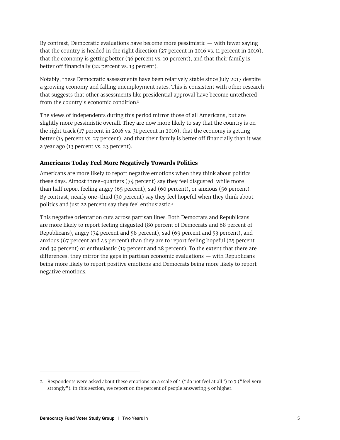By contrast, Democratic evaluations have become more pessimistic — with fewer saying that the country is headed in the right direction (27 percent in 2016 vs. 11 percent in 2019), that the economy is getting better (36 percent vs. 10 percent), and that their family is better off financially (22 percent vs. 13 percent).

Notably, these Democratic assessments have been relatively stable since July 2017 despite a growing economy and falling unemployment rates. This is consistent with other research that suggests that other assessments like presidential approval have become untethered from the country's economic condition.<sup>ii</sup>

The views of independents during this period mirror those of all Americans, but are slightly more pessimistic overall. They are now more likely to say that the country is on the right track (17 percent in 2016 vs. 31 percent in 2019), that the economy is getting better (14 percent vs. 27 percent), and that their family is better off financially than it was a year ago (13 percent vs. 23 percent).

#### **Americans Today Feel More Negatively Towards Politics**

Americans are more likely to report negative emotions when they think about politics these days. Almost three-quarters (74 percent) say they feel disgusted, while more than half report feeling angry (65 percent), sad (60 percent), or anxious (56 percent). By contrast, nearly one-third (30 percent) say they feel hopeful when they think about politics and just 22 percent say they feel enthusiastic.<sup>2</sup>

This negative orientation cuts across partisan lines. Both Democrats and Republicans are more likely to report feeling disgusted (80 percent of Democrats and 68 percent of Republicans), angry ( $74$  percent and 58 percent), sad (69 percent and 53 percent), and anxious (67 percent and 45 percent) than they are to report feeling hopeful (25 percent and 39 percent) or enthusiastic (19 percent and 28 percent). To the extent that there are differences, they mirror the gaps in partisan economic evaluations — with Republicans being more likely to report positive emotions and Democrats being more likely to report negative emotions.

<sup>2</sup> Respondents were asked about these emotions on a scale of 1 ("do not feel at all") to 7 ("feel very strongly"). In this section, we report on the percent of people answering 5 or higher.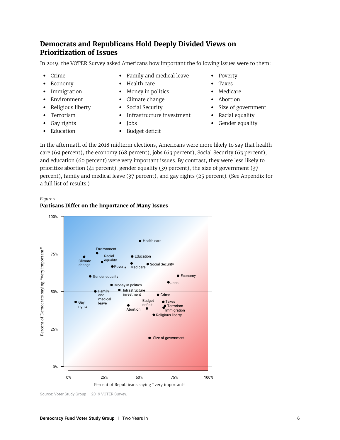# **Democrats and Republicans Hold Deeply Divided Views on Prioritization of Issues**

In 2019, the VOTER Survey asked Americans how important the following issues were to them:

- 
- 
- 
- 
- 
- 
- 
- 
- **•** Crime **•** Family and medical leave **•** Poverty
- **•** Economy **•** Health care **•** Taxes
- **•** Immigration **•** Money in politics **•** Medicare
- **•** Environment **•** Climate change **•** Abortion
	-
- **•** Terrorism **•** Infrastructure investment **•** Racial equality
	-
- **•** Education **•** Budget deficit
- 
- 
- 
- 
- **•** Religious liberty **•** Social Security **•** Size of government
	-
- **•** Gay rights **•** Jobs **•** Gender equality

In the aftermath of the 2018 midterm elections, Americans were more likely to say that health care (69 percent), the economy (68 percent), jobs (63 percent), Social Security (63 percent), and education (60 percent) were very important issues. By contrast, they were less likely to prioritize abortion (41 percent), gender equality (39 percent), the size of government (37 percent), family and medical leave (37 percent), and gay rights (25 percent). (See Appendix for a full list of results.)

*Figure 2* 

#### **Partisans Differ on the Importance of Many Issues**



Source: Voter Study Group — 2019 VOTER Survey.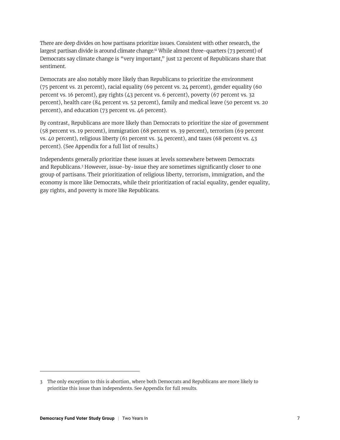There are deep divides on how partisans prioritize issues. Consistent with other research, the largest partisan divide is around climate change.<sup>iii</sup> While almost three-quarters (73 percent) of Democrats say climate change is "very important," just 12 percent of Republicans share that sentiment.

Democrats are also notably more likely than Republicans to prioritize the environment (75 percent vs. 21 percent), racial equality (69 percent vs. 24 percent), gender equality (60 percent vs. 16 percent), gay rights (43 percent vs. 6 percent), poverty (67 percent vs. 32 percent), health care (84 percent vs. 52 percent), family and medical leave (50 percent vs. 20 percent), and education (73 percent vs. 46 percent).

By contrast, Republicans are more likely than Democrats to prioritize the size of government (58 percent vs. 19 percent), immigration (68 percent vs. 39 percent), terrorism (69 percent vs. 40 percent), religious liberty (61 percent vs. 34 percent), and taxes (68 percent vs. 43 percent). (See Appendix for a full list of results.)

Independents generally prioritize these issues at levels somewhere between Democrats and Republicans.3 However, issue-by-issue they are sometimes significantly closer to one group of partisans. Their prioritization of religious liberty, terrorism, immigration, and the economy is more like Democrats, while their prioritization of racial equality, gender equality, gay rights, and poverty is more like Republicans.

<sup>3</sup> The only exception to this is abortion, where both Democrats and Republicans are more likely to prioritize this issue than independents. See Appendix for full results.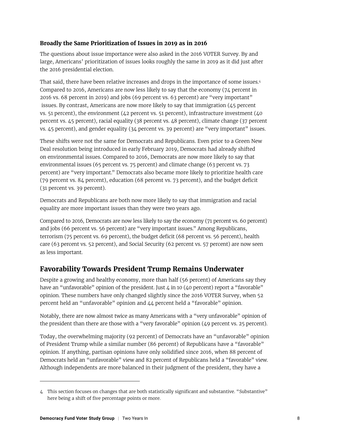#### **Broadly the Same Prioritization of Issues in 2019 as in 2016**

The questions about issue importance were also asked in the 2016 VOTER Survey. By and large, Americans' prioritization of issues looks roughly the same in 2019 as it did just after the 2016 presidential election.

That said, there have been relative increases and drops in the importance of some issues.<sup>4</sup> Compared to 2016, Americans are now less likely to say that the economy (74 percent in 2016 vs. 68 percent in 2019) and jobs (69 percent vs. 63 percent) are "very important" issues. By contrast, Americans are now more likely to say that immigration (45 percent vs. 51 percent), the environment (42 percent vs. 51 percent), infrastructure investment (40 percent vs. 45 percent), racial equality (38 percent vs. 48 percent), climate change (37 percent vs. 45 percent), and gender equality (34 percent vs. 39 percent) are "very important" issues.

These shifts were not the same for Democrats and Republicans. Even prior to a Green New Deal resolution being introduced in early February 2019, Democrats had already shifted on environmental issues. Compared to 2016, Democrats are now more likely to say that environmental issues (65 percent vs. 75 percent) and climate change (63 percent vs. 73 percent) are "very important." Democrats also became more likely to prioritize health care (79 percent vs. 84 percent), education (68 percent vs. 73 percent), and the budget deficit (31 percent vs. 39 percent).

Democrats and Republicans are both now more likely to say that immigration and racial equality are more important issues than they were two years ago.

Compared to 2016, Democrats are now less likely to say the economy (71 percent vs. 60 percent) and jobs (66 percent vs. 56 percent) are "very important issues." Among Republicans, terrorism (75 percent vs. 69 percent), the budget deficit (68 percent vs. 56 percent), health care (63 percent vs. 52 percent), and Social Security (62 percent vs. 57 percent) are now seen as less important.

# **Favorability Towards President Trump Remains Underwater**

Despite a growing and healthy economy, more than half (56 percent) of Americans say they have an "unfavorable" opinion of the president. Just 4 in 10 (40 percent) report a "favorable" opinion. These numbers have only changed slightly since the 2016 VOTER Survey, when 52 percent held an "unfavorable" opinion and 44 percent held a "favorable" opinion.

Notably, there are now almost twice as many Americans with a "very unfavorable" opinion of the president than there are those with a "very favorable" opinion (49 percent vs. 25 percent).

Today, the overwhelming majority (92 percent) of Democrats have an "unfavorable" opinion of President Trump while a similar number (86 percent) of Republicans have a "favorable" opinion. If anything, partisan opinions have only solidified since 2016, when 88 percent of Democrats held an "unfavorable" view and 82 percent of Republicans held a "favorable" view. Although independents are more balanced in their judgment of the president, they have a

<sup>4</sup> This section focuses on changes that are both statistically significant and substantive. "Substantive" here being a shift of five percentage points or more.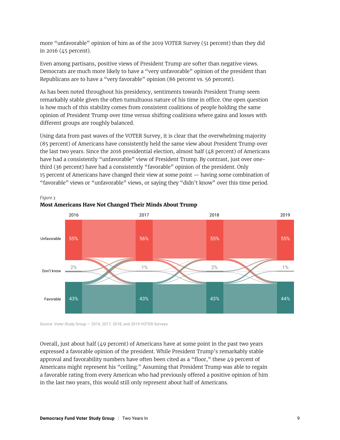more "unfavorable" opinion of him as of the 2019 VOTER Survey (51 percent) than they did in 2016 (45 percent).

Even among partisans, positive views of President Trump are softer than negative views. Democrats are much more likely to have a "very unfavorable" opinion of the president than Republicans are to have a "very favorable" opinion (86 percent vs. 56 percent).

As has been noted throughout his presidency, sentiments towards President Trump seem remarkably stable given the often tumultuous nature of his time in office. One open question is how much of this stability comes from consistent coalitions of people holding the same opinion of President Trump over time versus shifting coalitions where gains and losses with different groups are roughly balanced.

Using data from past waves of the VOTER Survey, it is clear that the overwhelming majority (85 percent) of Americans have consistently held the same view about President Trump over the last two years. Since the 2016 presidential election, almost half (48 percent) of Americans have had a consistently "unfavorable" view of President Trump. By contrast, just over onethird (36 percent) have had a consistently "favorable" opinion of the president. Only 15 percent of Americans have changed their view at some point — having some combination of "favorable" views or "unfavorable" views, or saying they "didn't know" over this time period.



**Most Americans Have Not Changed Their Minds About Trump** 

*Figure 3* 

Source: Voter Study Group — 2016, 2017, 2018, and 2019 VOTER Surveys.

Overall, just about half (49 percent) of Americans have at some point in the past two years expressed a favorable opinion of the president. While President Trump's remarkably stable approval and favorability numbers have often been cited as a "floor," these 49 percent of Americans might represent his "ceiling." Assuming that President Trump was able to regain a favorable rating from every American who had previously offered a positive opinion of him in the last two years, this would still only represent about half of Americans.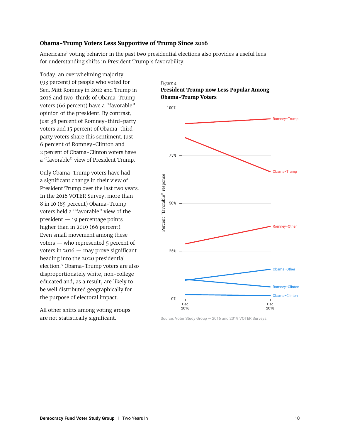#### **Obama-Trump Voters Less Supportive of Trump Since 2016**

Americans' voting behavior in the past two presidential elections also provides a useful lens for understanding shifts in President Trump's favorability.

Today, an overwhelming majority (93 percent) of people who voted for Sen. Mitt Romney in 2012 and Trump in 2016 and two-thirds of Obama-Trump voters (66 percent) have a "favorable" opinion of the president. By contrast, just 38 percent of Romney-third-party voters and 15 percent of Obama-thirdparty voters share this sentiment. Just 6 percent of Romney-Clinton and 2 percent of Obama-Clinton voters have a "favorable" view of President Trump.

Only Obama-Trump voters have had a significant change in their view of President Trump over the last two years. In the 2016 VOTER Survey, more than 8 in 10 (85 percent) Obama-Trump voters held a "favorable" view of the president — 19 percentage points higher than in 2019 (66 percent). Even small movement among these voters — who represented 5 percent of voters in  $2016$  — may prove significant heading into the 2020 presidential election.iv Obama-Trump voters are also disproportionately white, non-college educated and, as a result, are likely to be well distributed geographically for the purpose of electoral impact.

All other shifts among voting groups are not statistically significant.

#### *Figure 4*  **President Trump now Less Popular Among Obama-Trump Voters**



Source: Voter Study Group — 2016 and 2019 VOTER Surveys.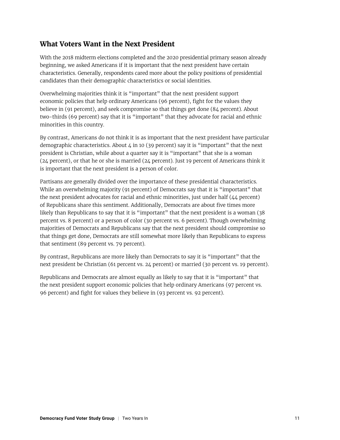# **What Voters Want in the Next President**

With the 2018 midterm elections completed and the 2020 presidential primary season already beginning, we asked Americans if it is important that the next president have certain characteristics. Generally, respondents cared more about the policy positions of presidential candidates than their demographic characteristics or social identities.

Overwhelming majorities think it is "important" that the next president support economic policies that help ordinary Americans (96 percent), fight for the values they believe in (91 percent), and seek compromise so that things get done (84 percent). About two-thirds (69 percent) say that it is "important" that they advocate for racial and ethnic minorities in this country.

By contrast, Americans do not think it is as important that the next president have particular demographic characteristics. About  $\mu$  in 10 (39 percent) say it is "important" that the next president is Christian, while about a quarter say it is "important" that she is a woman (24 percent), or that he or she is married (24 percent). Just 19 percent of Americans think it is important that the next president is a person of color.

Partisans are generally divided over the importance of these presidential characteristics. While an overwhelming majority (91 percent) of Democrats say that it is "important" that the next president advocates for racial and ethnic minorities, just under half (44 percent) of Republicans share this sentiment. Additionally, Democrats are about five times more likely than Republicans to say that it is "important" that the next president is a woman (38 percent vs. 8 percent) or a person of color (30 percent vs. 6 percent). Though overwhelming majorities of Democrats and Republicans say that the next president should compromise so that things get done, Democrats are still somewhat more likely than Republicans to express that sentiment (89 percent vs. 79 percent).

By contrast, Republicans are more likely than Democrats to say it is "important" that the next president be Christian (61 percent vs. 24 percent) or married (30 percent vs. 19 percent).

Republicans and Democrats are almost equally as likely to say that it is "important" that the next president support economic policies that help ordinary Americans (97 percent vs. 96 percent) and fight for values they believe in (93 percent vs. 92 percent).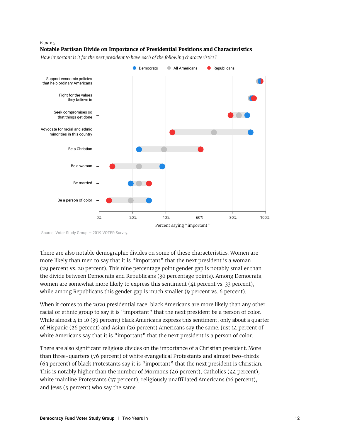#### *Figure 5*

#### **Notable Partisan Divide on Importance of Presidential Positions and Characteristics**

*How important is it for the next president to have each of the following characteristics?*



Source: Voter Study Group — 2019 VOTER Survey.

There are also notable demographic divides on some of these characteristics. Women are more likely than men to say that it is "important" that the next president is a woman (29 percent vs. 20 percent). This nine percentage point gender gap is notably smaller than the divide between Democrats and Republicans (30 percentage points). Among Democrats, women are somewhat more likely to express this sentiment  $(41)$  percent vs. 33 percent), while among Republicans this gender gap is much smaller (9 percent vs. 6 percent).

When it comes to the 2020 presidential race, black Americans are more likely than any other racial or ethnic group to say it is "important" that the next president be a person of color. While almost  $4$  in 10 (39 percent) black Americans express this sentiment, only about a quarter of Hispanic (26 percent) and Asian (26 percent) Americans say the same. Just 14 percent of white Americans say that it is "important" that the next president is a person of color.

There are also significant religious divides on the importance of a Christian president. More than three-quarters (76 percent) of white evangelical Protestants and almost two-thirds (63 percent) of black Protestants say it is "important" that the next president is Christian. This is notably higher than the number of Mormons  $(46$  percent), Catholics  $(44$  percent), white mainline Protestants (37 percent), religiously unaffiliated Americans (16 percent), and Jews (5 percent) who say the same.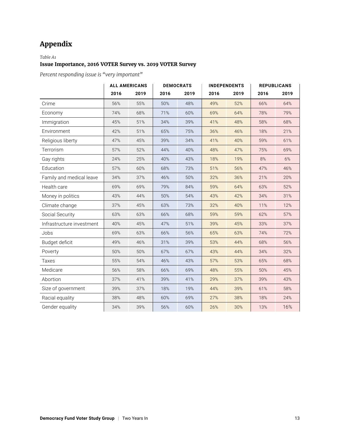# **Appendix**

#### *Table A1*

#### **Issue Importance, 2016 VOTER Survey vs. 2019 VOTER Survey**

*Percent responding issue is "very important"*

|                           | <b>ALL AMERICANS</b> |      | <b>DEMOCRATS</b> |      | <b>INDEPENDENTS</b> |      | <b>REPUBLICANS</b> |      |
|---------------------------|----------------------|------|------------------|------|---------------------|------|--------------------|------|
|                           | 2016                 | 2019 | 2016             | 2019 | 2016                | 2019 | 2016               | 2019 |
| Crime                     | 56%                  | 55%  | 50%              | 48%  | 49%                 | 52%  | 66%                | 64%  |
| Economy                   | 74%                  | 68%  | 71%              | 60%  | 69%                 | 64%  | 78%                | 79%  |
| Immigration               | 45%                  | 51%  | 34%              | 39%  | 41%                 | 48%  | 58%                | 68%  |
| Environment               | 42%                  | 51%  | 65%              | 75%  | 36%                 | 46%  | 18%                | 21%  |
| Religious liberty         | 47%                  | 45%  | 39%              | 34%  | 41%                 | 40%  | 59%                | 61%  |
| Terrorism                 | 57%                  | 52%  | 44%              | 40%  | 48%                 | 47%  | 75%                | 69%  |
| Gay rights                | 24%                  | 25%  | 40%              | 43%  | 18%                 | 19%  | 8%                 | 6%   |
| Education                 | 57%                  | 60%  | 68%              | 73%  | 51%                 | 56%  | 47%                | 46%  |
| Family and medical leave  | 34%                  | 37%  | 46%              | 50%  | 32%                 | 36%  | 21%                | 20%  |
| Health care               | 69%                  | 69%  | 79%              | 84%  | 59%                 | 64%  | 63%                | 52%  |
| Money in politics         | 43%                  | 44%  | 50%              | 54%  | 43%                 | 42%  | 34%                | 31%  |
| Climate change            | 37%                  | 45%  | 63%              | 73%  | 32%                 | 40%  | 11%                | 12%  |
| Social Security           | 63%                  | 63%  | 66%              | 68%  | 59%                 | 59%  | 62%                | 57%  |
| Infrastructure investment | 40%                  | 45%  | 47%              | 51%  | 39%                 | 45%  | 33%                | 37%  |
| Jobs                      | 69%                  | 63%  | 66%              | 56%  | 65%                 | 63%  | 74%                | 72%  |
| Budget deficit            | 49%                  | 46%  | 31%              | 39%  | 53%                 | 44%  | 68%                | 56%  |
| Poverty                   | 50%                  | 50%  | 67%              | 67%  | 43%                 | 44%  | 34%                | 32%  |
| Taxes                     | 55%                  | 54%  | 46%              | 43%  | 57%                 | 53%  | 65%                | 68%  |
| Medicare                  | 56%                  | 58%  | 66%              | 69%  | 48%                 | 55%  | 50%                | 45%  |
| Abortion                  | 37%                  | 41%  | 39%              | 41%  | 29%                 | 37%  | 39%                | 43%  |
| Size of government        | 39%                  | 37%  | 18%              | 19%  | 44%                 | 39%  | 61%                | 58%  |
| Racial equality           | 38%                  | 48%  | 60%              | 69%  | 27%                 | 38%  | 18%                | 24%  |
| Gender equality           | 34%                  | 39%  | 56%              | 60%  | 26%                 | 30%  | 13%                | 16%  |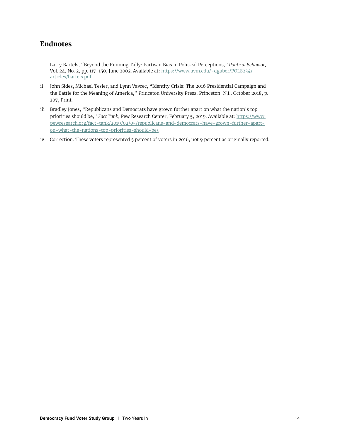## **Endnotes**

- i Larry Bartels, "Beyond the Running Tally: Partisan Bias in Political Perceptions," *Political Behavior,* Vol. 24, No. 2, pp. 117-150, June 2002. Available at: [https://www.uvm.edu/~dguber/POLS234/](https://www.uvm.edu/~dguber/POLS234/articles/bartels.pdf) [articles/bartels.pdf](https://www.uvm.edu/~dguber/POLS234/articles/bartels.pdf).
- ii John Sides, Michael Tesler, and Lynn Vavrec, "Identity Crisis: The 2016 Presidential Campaign and the Battle for the Meaning of America," Princeton University Press, Princeton, N.J., October 2018, p. 207, Print.
- iii Bradley Jones, "Republicans and Democrats have grown further apart on what the nation's top priorities should be," *Fact Tank*, Pew Research Center, February 5, 2019. Available at: [https://www.](https://www.pewresearch.org/fact-tank/2019/02/05/republicans-and-democrats-have-grown-further-apart-on-what-the-nations-top-priorities-should-be/) [pewresearch.org/fact-tank/2019/02/05/republicans-and-democrats-have-grown-further-apart](https://www.pewresearch.org/fact-tank/2019/02/05/republicans-and-democrats-have-grown-further-apart-on-what-the-nations-top-priorities-should-be/)[on-what-the-nations-top-priorities-should-be/](https://www.pewresearch.org/fact-tank/2019/02/05/republicans-and-democrats-have-grown-further-apart-on-what-the-nations-top-priorities-should-be/).
- iv Correction: These voters represented 5 percent of voters in 2016, not 9 percent as originally reported.